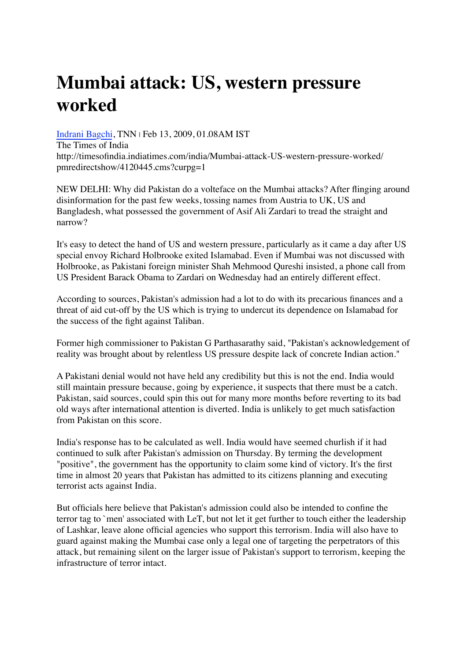## **Mumbai attack: US, western pressure worked**

[Indrani Bagchi,](http://timesofindia.indiatimes.com/toireporter/author-Indrani-Bagchi.cms) TNN | Feb 13, 2009, 01.08AM IST The Times of India http://timesofindia.indiatimes.com/india/Mumbai-attack-US-western-pressure-worked/ pmredirectshow/4120445.cms?curpg=1

NEW DELHI: Why did Pakistan do a volteface on the Mumbai attacks? After flinging around disinformation for the past few weeks, tossing names from Austria to UK, US and Bangladesh, what possessed the government of Asif Ali Zardari to tread the straight and narrow?

It's easy to detect the hand of US and western pressure, particularly as it came a day after US special envoy Richard Holbrooke exited Islamabad. Even if Mumbai was not discussed with Holbrooke, as Pakistani foreign minister Shah Mehmood Qureshi insisted, a phone call from US President Barack Obama to Zardari on Wednesday had an entirely different effect.

According to sources, Pakistan's admission had a lot to do with its precarious finances and a threat of aid cut-off by the US which is trying to undercut its dependence on Islamabad for the success of the fight against Taliban.

Former high commissioner to Pakistan G Parthasarathy said, "Pakistan's acknowledgement of reality was brought about by relentless US pressure despite lack of concrete Indian action."

A Pakistani denial would not have held any credibility but this is not the end. India would still maintain pressure because, going by experience, it suspects that there must be a catch. Pakistan, said sources, could spin this out for many more months before reverting to its bad old ways after international attention is diverted. India is unlikely to get much satisfaction from Pakistan on this score.

India's response has to be calculated as well. India would have seemed churlish if it had continued to sulk after Pakistan's admission on Thursday. By terming the development "positive", the government has the opportunity to claim some kind of victory. It's the first time in almost 20 years that Pakistan has admitted to its citizens planning and executing terrorist acts against India.

But officials here believe that Pakistan's admission could also be intended to confine the terror tag to `men' associated with LeT, but not let it get further to touch either the leadership of Lashkar, leave alone official agencies who support this terrorism. India will also have to guard against making the Mumbai case only a legal one of targeting the perpetrators of this attack, but remaining silent on the larger issue of Pakistan's support to terrorism, keeping the infrastructure of terror intact.